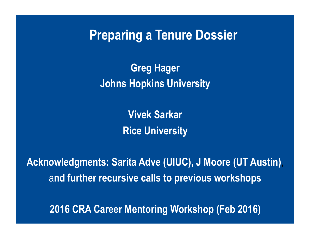**Preparing a Tenure Dossier**

**Greg Hager Johns Hopkins University** 

> **Vivek Sarkar Rice University**

**Acknowledgments: Sarita Adve (UIUC), J Moore (UT Austin)**, a**nd further recursive calls to previous workshops** 

**2016 CRA Career Mentoring Workshop (Feb 2016)**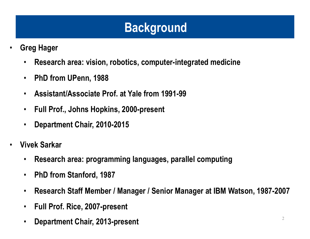### **Background**

- **Greg Hager** 
	- **Research area: vision, robotics, computer-integrated medicine**
	- **PhD from UPenn, 1988**
	- **Assistant/Associate Prof. at Yale from 1991-99**
	- **Full Prof., Johns Hopkins, 2000-present**
	- **Department Chair, 2010-2015**
- **Vivek Sarkar** 
	- **Research area: programming languages, parallel computing**
	- **PhD from Stanford, 1987**
	- **Research Staff Member / Manager / Senior Manager at IBM Watson, 1987-2007**
	- **Full Prof. Rice, 2007-present**
	- **Department Chair, 2013-present**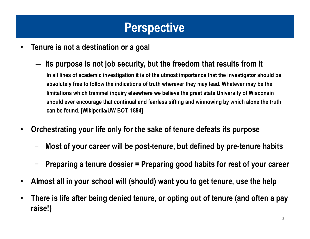### **Perspective**

- **Tenure is not a destination or a goal**
	- ― **Its purpose is not job security, but the freedom that results from it**

**In all lines of academic investigation it is of the utmost importance that the investigator should be absolutely free to follow the indications of truth wherever they may lead. Whatever may be the limitations which trammel inquiry elsewhere we believe the great state University of Wisconsin should ever encourage that continual and fearless sifting and winnowing by which alone the truth can be found. [Wikipedia/UW BOT, 1894]**

- **Orchestrating your life only for the sake of tenure defeats its purpose**
	- − **Most of your career will be post-tenure, but defined by pre-tenure habits**
	- − **Preparing a tenure dossier = Preparing good habits for rest of your career**
- **Almost all in your school will (should) want you to get tenure, use the help**
- **There is life after being denied tenure, or opting out of tenure (and often a pay raise!)**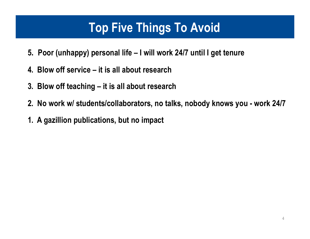### **Top Five Things To Avoid**

- **5. Poor (unhappy) personal life I will work 24/7 until I get tenure**
- **4. Blow off service it is all about research**
- **3. Blow off teaching it is all about research**
- **2. No work w/ students/collaborators, no talks, nobody knows you work 24/7**
- **1. A gazillion publications, but no impact**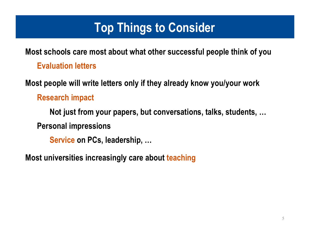### **Top Things to Consider**

**Most schools care most about what other successful people think of you Evaluation letters**

**Most people will write letters only if they already know you/your work**

**Research impact**

**Not just from your papers, but conversations, talks, students, … Personal impressions**

**Service on PCs, leadership, …**

**Most universities increasingly care about teaching**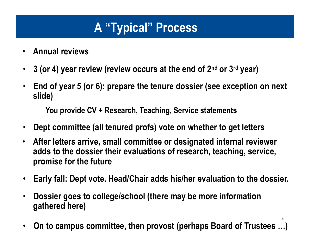# **A "Typical" Process**

- **Annual reviews**
- **3 (or 4) year review (review occurs at the end of 2nd or 3rd year)**
- **End of year 5 (or 6): prepare the tenure dossier (see exception on next slide)**
	- **You provide CV + Research, Teaching, Service statements**
- **Dept committee (all tenured profs) vote on whether to get letters**
- **After letters arrive, small committee or designated internal reviewer adds to the dossier their evaluations of research, teaching, service, promise for the future**
- **Early fall: Dept vote. Head/Chair adds his/her evaluation to the dossier.**
- **Dossier goes to college/school (there may be more information gathered here)**
- **On to campus committee, then provost (perhaps Board of Trustees …)**

6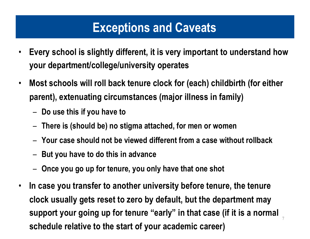### **Exceptions and Caveats**

- **Every school is slightly different, it is very important to understand how your department/college/university operates**
- **Most schools will roll back tenure clock for (each) childbirth (for either parent), extenuating circumstances (major illness in family)**
	- **Do use this if you have to**
	- **There is (should be) no stigma attached, for men or women**
	- **Your case should not be viewed different from a case without rollback**
	- **But you have to do this in advance**
	- **Once you go up for tenure, you only have that one shot**
- 7 • **In case you transfer to another university before tenure, the tenure clock usually gets reset to zero by default, but the department may support your going up for tenure "early" in that case (if it is a normal schedule relative to the start of your academic career)**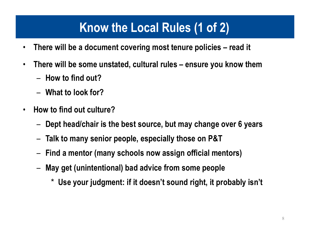## **Know the Local Rules (1 of 2)**

- **There will be a document covering most tenure policies read it**
- **There will be some unstated, cultural rules ensure you know them**
	- **How to find out?**
	- **What to look for?**
- **How to find out culture?**
	- **Dept head/chair is the best source, but may change over 6 years**
	- **Talk to many senior people, especially those on P&T**
	- **Find a mentor (many schools now assign official mentors)**
	- **May get (unintentional) bad advice from some people**
		- \* **Use your judgment: if it doesn't sound right, it probably isn't**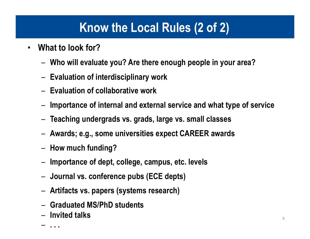### **Know the Local Rules (2 of 2)**

- **What to look for?**
	- **Who will evaluate you? Are there enough people in your area?**
	- **Evaluation of interdisciplinary work**
	- **Evaluation of collaborative work**
	- **Importance of internal and external service and what type of service**
	- **Teaching undergrads vs. grads, large vs. small classes**
	- **Awards; e.g., some universities expect CAREER awards**
	- **How much funding?**
	- **Importance of dept, college, campus, etc. levels**
	- **Journal vs. conference pubs (ECE depts)**
	- **Artifacts vs. papers (systems research)**
	- **Graduated MS/PhD students**
	- **Invited talks**   $\frac{8}{3}$ <br> $\frac{8}{3}$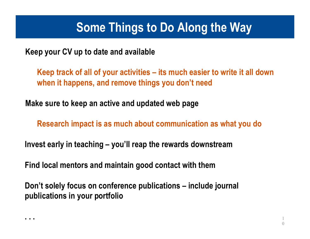### **Some Things to Do Along the Way**

**Keep your CV up to date and available**

**Keep track of all of your activities – its much easier to write it all down when it happens, and remove things you don't need**

**Make sure to keep an active and updated web page**

**Research impact is as much about communication as what you do**

**Invest early in teaching – you'll reap the rewards downstream** 

**Find local mentors and maintain good contact with them** 

**Don't solely focus on conference publications – include journal publications in your portfolio**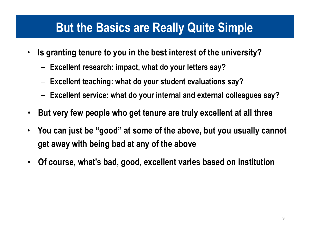#### **But the Basics are Really Quite Simple**

- **Is granting tenure to you in the best interest of the university?**
	- **Excellent research: impact, what do your letters say?**
	- **Excellent teaching: what do your student evaluations say?**
	- **Excellent service: what do your internal and external colleagues say?**
- **But very few people who get tenure are truly excellent at all three**
- **You can just be "good" at some of the above, but you usually cannot get away with being bad at any of the above**
- **Of course, what's bad, good, excellent varies based on institution**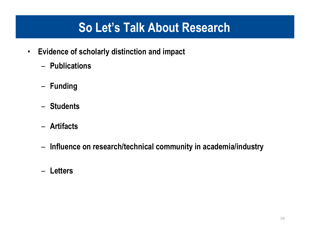### **So Let's Talk About Research**

- **Evidence of scholarly distinction and impact**
	- **Publications**
	- **Funding**
	- **Students**
	- **Artifacts**
	- **Influence on research/technical community in academia/industry**
	- **Letters**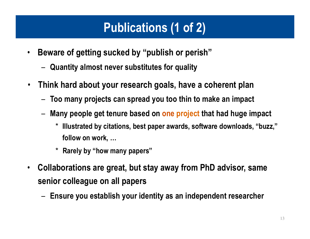# **Publications (1 of 2)**

- **Beware of getting sucked by "publish or perish"**
	- **Quantity almost never substitutes for quality**
- **Think hard about your research goals, have a coherent plan**
	- **Too many projects can spread you too thin to make an impact**
	- **Many people get tenure based on one project that had huge impact**
		- \* **Illustrated by citations, best paper awards, software downloads, "buzz," follow on work, …**
		- \* **Rarely by "how many papers"**
- **Collaborations are great, but stay away from PhD advisor, same senior colleague on all papers**
	- **Ensure you establish your identity as an independent researcher**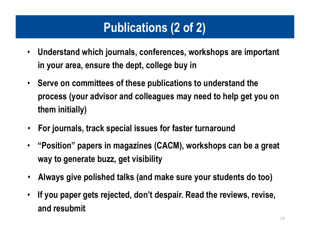# **Publications (2 of 2)**

- **Understand which journals, conferences, workshops are important in your area, ensure the dept, college buy in**
- **Serve on committees of these publications to understand the process (your advisor and colleagues may need to help get you on them initially)**
- **For journals, track special issues for faster turnaround**
- **"Position" papers in magazines (CACM), workshops can be a great way to generate buzz, get visibility**
- **Always give polished talks (and make sure your students do too)**
- **If you paper gets rejected, don't despair. Read the reviews, revise, and resubmit**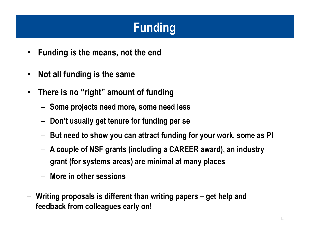# **Funding**

- **Funding is the means, not the end**
- **Not all funding is the same**
- **There is no "right" amount of funding**
	- **Some projects need more, some need less**
	- **Don't usually get tenure for funding per se**
	- **But need to show you can attract funding for your work, some as PI**
	- **A couple of NSF grants (including a CAREER award), an industry grant (for systems areas) are minimal at many places**
	- **More in other sessions**
- **Writing proposals is different than writing papers get help and feedback from colleagues early on!**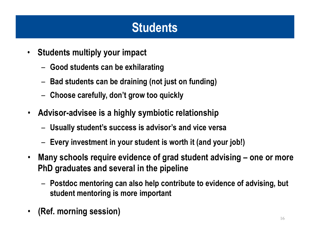# **Students**

- **Students multiply your impact**
	- **Good students can be exhilarating**
	- **Bad students can be draining (not just on funding)**
	- **Choose carefully, don't grow too quickly**
- **Advisor-advisee is a highly symbiotic relationship**
	- **Usually student's success is advisor's and vice versa**
	- **Every investment in your student is worth it (and your job!)**
- **Many schools require evidence of grad student advising – one or more PhD graduates and several in the pipeline**
	- **Postdoc mentoring can also help contribute to evidence of advising, but student mentoring is more important**
- **(Ref. morning session)**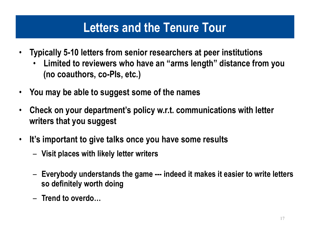#### **Letters and the Tenure Tour**

- **Typically 5-10 letters from senior researchers at peer institutions**
	- **Limited to reviewers who have an "arms length" distance from you (no coauthors, co-PIs, etc.)**
- **You may be able to suggest some of the names**
- **Check on your department's policy w.r.t. communications with letter writers that you suggest**
- **It's important to give talks once you have some results**
	- **Visit places with likely letter writers**
	- **Everybody understands the game --- indeed it makes it easier to write letters so definitely worth doing**
	- **Trend to overdo…**